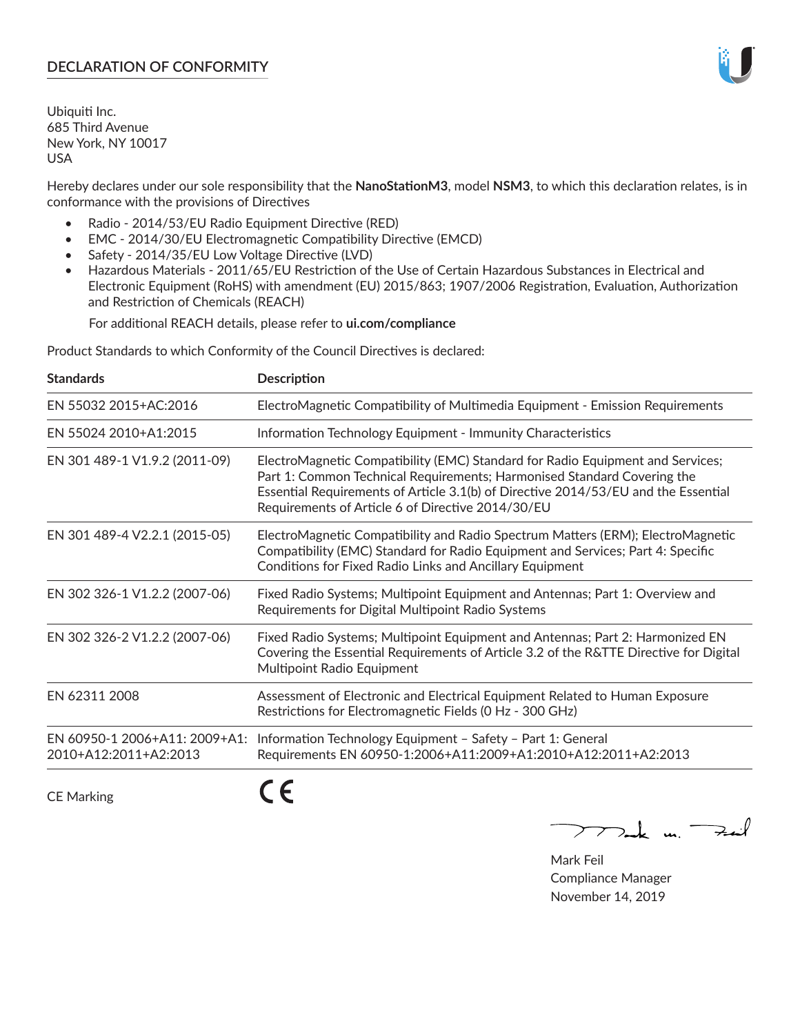## **DECLARATION OF CONFORMITY**

Ubiquiti Inc. 685 Third Avenue New York, NY 10017 USA

Hereby declares under our sole responsibility that the **NanoStationM3**, model **NSM3**, to which this declaration relates, is in conformance with the provisions of Directives

- Radio 2014/53/EU Radio Equipment Directive (RED)
- EMC 2014/30/EU Electromagnetic Compatibility Directive (EMCD)
- Safety 2014/35/EU Low Voltage Directive (LVD)
- Hazardous Materials 2011/65/EU Restriction of the Use of Certain Hazardous Substances in Electrical and Electronic Equipment (RoHS) with amendment (EU) 2015/863; 1907/2006 Registration, Evaluation, Authorization and Restriction of Chemicals (REACH)

For additional REACH details, please refer to **ui.com/compliance**

Product Standards to which Conformity of the Council Directives is declared:

| <b>Standards</b>                                       | <b>Description</b>                                                                                                                                                                                                                                                                                   |
|--------------------------------------------------------|------------------------------------------------------------------------------------------------------------------------------------------------------------------------------------------------------------------------------------------------------------------------------------------------------|
| EN 55032 2015+AC:2016                                  | ElectroMagnetic Compatibility of Multimedia Equipment - Emission Requirements                                                                                                                                                                                                                        |
| EN 55024 2010+A1:2015                                  | Information Technology Equipment - Immunity Characteristics                                                                                                                                                                                                                                          |
| EN 301 489-1 V1.9.2 (2011-09)                          | ElectroMagnetic Compatibility (EMC) Standard for Radio Equipment and Services;<br>Part 1: Common Technical Requirements; Harmonised Standard Covering the<br>Essential Requirements of Article 3.1(b) of Directive 2014/53/EU and the Essential<br>Requirements of Article 6 of Directive 2014/30/EU |
| EN 301 489-4 V2.2.1 (2015-05)                          | ElectroMagnetic Compatibility and Radio Spectrum Matters (ERM); ElectroMagnetic<br>Compatibility (EMC) Standard for Radio Equipment and Services; Part 4: Specific<br>Conditions for Fixed Radio Links and Ancillary Equipment                                                                       |
| EN 302 326-1 V1.2.2 (2007-06)                          | Fixed Radio Systems; Multipoint Equipment and Antennas; Part 1: Overview and<br>Requirements for Digital Multipoint Radio Systems                                                                                                                                                                    |
| EN 302 326-2 V1.2.2 (2007-06)                          | Fixed Radio Systems; Multipoint Equipment and Antennas; Part 2: Harmonized EN<br>Covering the Essential Requirements of Article 3.2 of the R&TTE Directive for Digital<br>Multipoint Radio Equipment                                                                                                 |
| EN 62311 2008                                          | Assessment of Electronic and Electrical Equipment Related to Human Exposure<br>Restrictions for Electromagnetic Fields (0 Hz - 300 GHz)                                                                                                                                                              |
| EN 60950-1 2006+A11: 2009+A1:<br>2010+A12:2011+A2:2013 | Information Technology Equipment - Safety - Part 1: General<br>Requirements EN 60950-1:2006+A11:2009+A1:2010+A12:2011+A2:2013                                                                                                                                                                        |
| <b>CE Marking</b>                                      |                                                                                                                                                                                                                                                                                                      |

Tak m. Fail

Mark Feil Compliance Manager November 14, 2019

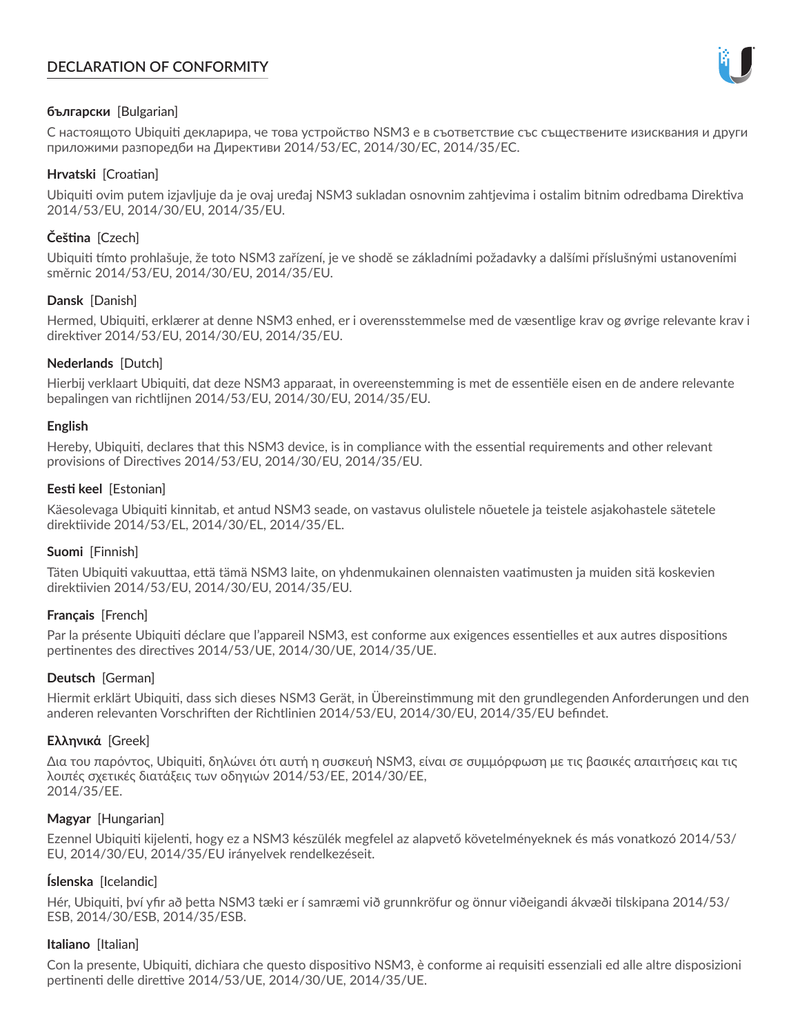# **DECLARATION OF CONFORMITY**



## **български** [Bulgarian]

С настоящото Ubiquiti декларира, че това устройство NSM3 е в съответствие със съществените изисквания и други приложими разпоредби на Директиви 2014/53/EC, 2014/30/ЕС, 2014/35/ЕС.

## **Hrvatski** [Croatian]

Ubiquiti ovim putem izjavljuje da je ovaj uređaj NSM3 sukladan osnovnim zahtjevima i ostalim bitnim odredbama Direktiva 2014/53/EU, 2014/30/EU, 2014/35/EU.

## **Čeština** [Czech]

Ubiquiti tímto prohlašuje, že toto NSM3 zařízení, je ve shodě se základními požadavky a dalšími příslušnými ustanoveními směrnic 2014/53/EU, 2014/30/EU, 2014/35/EU.

## **Dansk** [Danish]

Hermed, Ubiquiti, erklærer at denne NSM3 enhed, er i overensstemmelse med de væsentlige krav og øvrige relevante krav i direktiver 2014/53/EU, 2014/30/EU, 2014/35/EU.

## **Nederlands** [Dutch]

Hierbij verklaart Ubiquiti, dat deze NSM3 apparaat, in overeenstemming is met de essentiële eisen en de andere relevante bepalingen van richtlijnen 2014/53/EU, 2014/30/EU, 2014/35/EU.

## **English**

Hereby, Ubiquiti, declares that this NSM3 device, is in compliance with the essential requirements and other relevant provisions of Directives 2014/53/EU, 2014/30/EU, 2014/35/EU.

## **Eesti keel** [Estonian]

Käesolevaga Ubiquiti kinnitab, et antud NSM3 seade, on vastavus olulistele nõuetele ja teistele asjakohastele sätetele direktiivide 2014/53/EL, 2014/30/EL, 2014/35/EL.

## **Suomi** [Finnish]

Täten Ubiquiti vakuuttaa, että tämä NSM3 laite, on yhdenmukainen olennaisten vaatimusten ja muiden sitä koskevien direktiivien 2014/53/EU, 2014/30/EU, 2014/35/EU.

## **Français** [French]

Par la présente Ubiquiti déclare que l'appareil NSM3, est conforme aux exigences essentielles et aux autres dispositions pertinentes des directives 2014/53/UE, 2014/30/UE, 2014/35/UE.

## **Deutsch** [German]

Hiermit erklärt Ubiquiti, dass sich dieses NSM3 Gerät, in Übereinstimmung mit den grundlegenden Anforderungen und den anderen relevanten Vorschriften der Richtlinien 2014/53/EU, 2014/30/EU, 2014/35/EU befindet.

## **Ελληνικά** [Greek]

Δια του παρόντος, Ubiquiti, δηλώνει ότι αυτή η συσκευή NSM3, είναι σε συμμόρφωση με τις βασικές απαιτήσεις και τις λοιπές σχετικές διατάξεις των οδηγιών 2014/53/EE, 2014/30/EE, 2014/35/EE.

## **Magyar** [Hungarian]

Ezennel Ubiquiti kijelenti, hogy ez a NSM3 készülék megfelel az alapvető követelményeknek és más vonatkozó 2014/53/ EU, 2014/30/EU, 2014/35/EU irányelvek rendelkezéseit.

## **Íslenska** [Icelandic]

Hér, Ubiquiti, því yfir að þetta NSM3 tæki er í samræmi við grunnkröfur og önnur viðeigandi ákvæði tilskipana 2014/53/ ESB, 2014/30/ESB, 2014/35/ESB.

## **Italiano** [Italian]

Con la presente, Ubiquiti, dichiara che questo dispositivo NSM3, è conforme ai requisiti essenziali ed alle altre disposizioni pertinenti delle direttive 2014/53/UE, 2014/30/UE, 2014/35/UE.